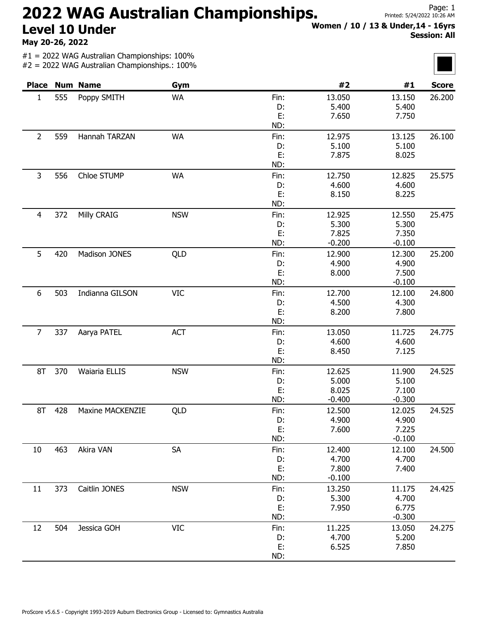## 2022 WAG Australian Championships. Level 10 Under

May 20-26, 2022

#1 = 2022 WAG Australian Championships: 100% #2 = 2022 WAG Australian Championships.: 100%

| Women / 10 / 13 & Under, 14 - 16yrs |  |
|-------------------------------------|--|
| <b>Session: All</b>                 |  |
|                                     |  |

|                |     | <b>Place Num Name</b>   | Gym        |       | #2       | #1       | <b>Score</b> |
|----------------|-----|-------------------------|------------|-------|----------|----------|--------------|
| $\mathbf{1}$   | 555 | Poppy SMITH             | <b>WA</b>  | Fin:  | 13.050   | 13.150   | 26.200       |
|                |     |                         |            | D:    | 5.400    | 5.400    |              |
|                |     |                         | E:         | 7.650 | 7.750    |          |              |
|                |     |                         | ND:        |       |          |          |              |
| 2              | 559 | Hannah TARZAN           | <b>WA</b>  | Fin:  | 12.975   | 13.125   | 26.100       |
|                |     |                         |            | D:    | 5.100    | 5.100    |              |
|                |     |                         |            | E:    | 7.875    | 8.025    |              |
|                |     |                         |            | ND:   |          |          |              |
| 3              | 556 | Chloe STUMP             | <b>WA</b>  | Fin:  | 12.750   | 12.825   | 25.575       |
|                |     |                         |            | D:    | 4.600    | 4.600    |              |
|                |     |                         |            | E:    | 8.150    | 8.225    |              |
|                |     |                         |            | ND:   |          |          |              |
| $\overline{4}$ | 372 | Milly CRAIG             | <b>NSW</b> | Fin:  | 12.925   | 12.550   | 25.475       |
|                |     |                         |            | D:    | 5.300    | 5.300    |              |
|                |     |                         |            | E:    | 7.825    | 7.350    |              |
|                |     |                         |            | ND:   | $-0.200$ | $-0.100$ |              |
| 5              | 420 | Madison JONES           | QLD        | Fin:  | 12.900   | 12.300   | 25.200       |
|                |     |                         |            | D:    | 4.900    | 4.900    |              |
|                |     |                         |            | E:    | 8.000    | 7.500    |              |
|                |     |                         |            | ND:   |          | $-0.100$ |              |
| 6              | 503 | Indianna GILSON         | <b>VIC</b> | Fin:  | 12.700   | 12.100   | 24.800       |
|                |     |                         |            | D:    | 4.500    | 4.300    |              |
|                |     |                         |            | E:    | 8.200    | 7.800    |              |
|                |     |                         |            | ND:   |          |          |              |
| $\overline{7}$ | 337 | Aarya PATEL             | <b>ACT</b> | Fin:  | 13.050   | 11.725   | 24.775       |
|                |     |                         |            | D:    | 4.600    | 4.600    |              |
|                |     |                         |            | E:    | 8.450    | 7.125    |              |
|                |     |                         |            | ND:   |          |          |              |
| 8T             | 370 | Waiaria ELLIS           | <b>NSW</b> | Fin:  | 12.625   | 11.900   | 24.525       |
|                |     |                         |            | D:    | 5.000    | 5.100    |              |
|                |     |                         |            | E:    | 8.025    | 7.100    |              |
|                |     |                         |            | ND:   | $-0.400$ | $-0.300$ |              |
| 8T             | 428 | <b>Maxine MACKENZIE</b> | QLD        | Fin:  | 12.500   | 12.025   | 24.525       |
|                |     |                         |            | D:    | 4.900    | 4.900    |              |
|                |     |                         |            | E:    | 7.600    | 7.225    |              |
|                |     |                         |            | ND:   |          | $-0.100$ |              |
| 10             | 463 | Akira VAN               | <b>SA</b>  | Fin:  | 12.400   | 12.100   | 24.500       |
|                |     |                         |            | D:    | 4.700    | 4.700    |              |
|                |     |                         |            | E:    | 7.800    | 7.400    |              |
|                |     |                         |            | ND:   | $-0.100$ |          |              |
| 11             | 373 | Caitlin JONES           | <b>NSW</b> | Fin:  | 13.250   | 11.175   | 24.425       |
|                |     |                         |            | D:    | 5.300    | 4.700    |              |
|                |     |                         |            | E:    | 7.950    | 6.775    |              |
|                |     |                         |            | ND:   |          | $-0.300$ |              |
| 12             | 504 | Jessica GOH             | <b>VIC</b> | Fin:  | 11.225   | 13.050   | 24.275       |
|                |     |                         |            | D:    | 4.700    | 5.200    |              |
|                |     |                         |            | E:    | 6.525    | 7.850    |              |
|                |     |                         |            | ND:   |          |          |              |

Session: All

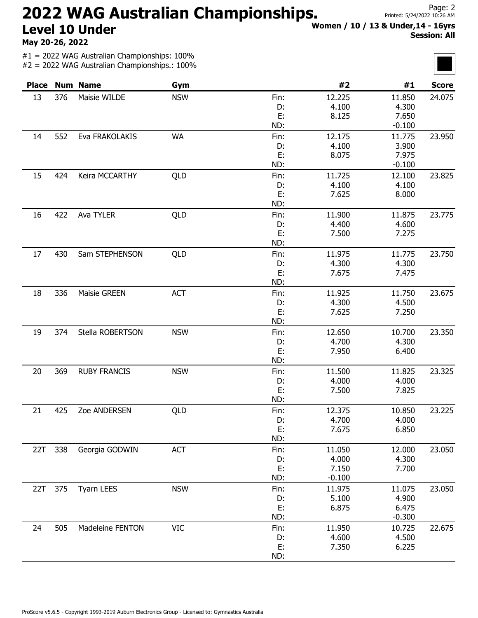## 2022 WAG Australian Championships. Level 10 Under

May 20-26, 2022

#1 = 2022 WAG Australian Championships: 100% #2 = 2022 WAG Australian Championships.: 100% Women / 10 / 13 & Under,14 - 16yrs Session: All

| <b>Place</b> |     | <b>Num Name</b>     | Gym        |      | #2       | #1       | <b>Score</b> |
|--------------|-----|---------------------|------------|------|----------|----------|--------------|
| 13           | 376 | Maisie WILDE        | <b>NSW</b> | Fin: | 12.225   | 11.850   | 24.075       |
|              |     |                     |            | D:   | 4.100    | 4.300    |              |
|              |     |                     |            | E:   | 8.125    | 7.650    |              |
|              |     |                     |            | ND:  |          | $-0.100$ |              |
| 14           | 552 | Eva FRAKOLAKIS      | <b>WA</b>  | Fin: | 12.175   | 11.775   | 23.950       |
|              |     |                     |            | D:   | 4.100    | 3.900    |              |
|              |     |                     |            | E:   | 8.075    | 7.975    |              |
|              |     |                     |            | ND:  |          | $-0.100$ |              |
| 15           | 424 | Keira MCCARTHY      | QLD        | Fin: | 11.725   | 12.100   | 23.825       |
|              |     |                     |            | D:   | 4.100    | 4.100    |              |
|              |     |                     |            | E:   | 7.625    | 8.000    |              |
|              |     |                     |            | ND:  |          |          |              |
| 16           | 422 | Ava TYLER           | QLD        | Fin: | 11.900   | 11.875   | 23.775       |
|              |     |                     |            | D:   | 4.400    | 4.600    |              |
|              |     |                     |            | E:   | 7.500    | 7.275    |              |
|              |     |                     |            | ND:  |          |          |              |
| 17           | 430 | Sam STEPHENSON      | QLD        | Fin: | 11.975   | 11.775   | 23.750       |
|              |     |                     |            | D:   | 4.300    | 4.300    |              |
|              |     |                     |            | E:   | 7.675    | 7.475    |              |
|              |     |                     |            | ND:  |          |          |              |
| 18           | 336 | Maisie GREEN        | <b>ACT</b> | Fin: | 11.925   | 11.750   | 23.675       |
|              |     |                     |            | D:   | 4.300    | 4.500    |              |
|              |     |                     |            | E:   | 7.625    | 7.250    |              |
|              |     |                     |            | ND:  |          |          |              |
| 19           | 374 | Stella ROBERTSON    | <b>NSW</b> | Fin: | 12.650   | 10.700   | 23.350       |
|              |     |                     |            | D:   | 4.700    | 4.300    |              |
|              |     |                     |            | E:   | 7.950    | 6.400    |              |
|              |     |                     |            | ND:  |          |          |              |
| 20           | 369 | <b>RUBY FRANCIS</b> | <b>NSW</b> | Fin: | 11.500   | 11.825   | 23.325       |
|              |     |                     |            | D:   | 4.000    | 4.000    |              |
|              |     |                     |            | E:   | 7.500    | 7.825    |              |
|              |     |                     |            | ND:  |          |          |              |
| 21           | 425 | Zoe ANDERSEN        | QLD        | Fin: | 12.375   | 10.850   | 23.225       |
|              |     |                     |            | D:   | 4.700    | 4.000    |              |
|              |     |                     |            | E:   | 7.675    | 6.850    |              |
|              |     |                     |            | ND:  |          |          |              |
| 22T          | 338 | Georgia GODWIN      | <b>ACT</b> | Fin: | 11.050   | 12.000   | 23.050       |
|              |     |                     |            | D:   | 4.000    | 4.300    |              |
|              |     |                     |            | E:   | 7.150    | 7.700    |              |
|              |     |                     |            | ND:  | $-0.100$ |          |              |
| 22T          | 375 | <b>Tyarn LEES</b>   | <b>NSW</b> | Fin: | 11.975   | 11.075   | 23.050       |
|              |     |                     |            | D:   | 5.100    | 4.900    |              |
|              |     |                     |            | E:   | 6.875    | 6.475    |              |
|              |     |                     |            | ND:  |          | $-0.300$ |              |
| 24           | 505 | Madeleine FENTON    | <b>VIC</b> | Fin: | 11.950   | 10.725   | 22.675       |
|              |     |                     |            | D:   | 4.600    | 4.500    |              |
|              |     |                     |            | E:   | 7.350    | 6.225    |              |
|              |     |                     |            | ND:  |          |          |              |



Page: 2